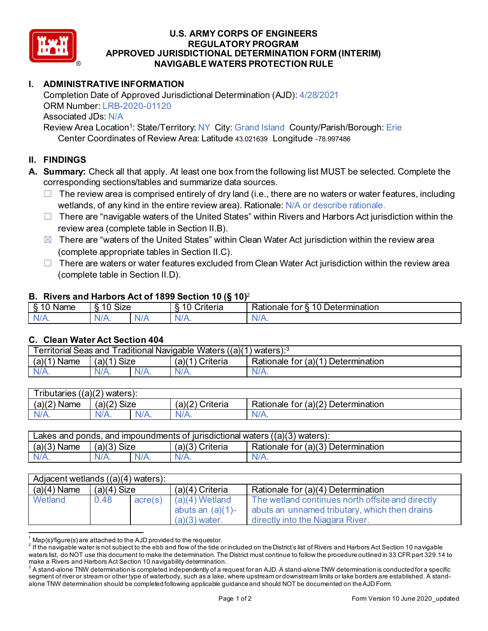

### **U.S. ARMY CORPS OF ENGINEERS REGULATORY PROGRAM APPROVED JURISDICTIONAL DETERMINATION FORM (INTERIM) NAVIGABLE WATERS PROTECTION RULE**

# **I. ADMINISTRATIVE INFORMATION**

Completion Date of Approved Jurisdictional Determination (AJD): 4/28/2021 ORM Number: LRB-2020-01120 Associated JDs: N/A

Review Area Location<sup>1</sup>: State/Territory: NY City: Grand Island County/Parish/Borough: Erie Center Coordinates of Review Area: Latitude 43.021639 Longitude -78.997486

## **II. FINDINGS**

- **A. Summary:** Check all that apply. At least one box from the following list MUST be selected. Complete the corresponding sections/tables and summarize data sources.
	- $\Box$  The review area is comprised entirely of dry land (i.e., there are no waters or water features, including wetlands, of any kind in the entire review area). Rationale: N/A or describe rationale.
	- $\Box$  There are "navigable waters of the United States" within Rivers and Harbors Act jurisdiction within the review area (complete table in Section II.B).
	- $\boxtimes$  There are "waters of the United States" within Clean Water Act jurisdiction within the review area (complete appropriate tables in Section II.C).
	- $\Box$  There are waters or water features excluded from Clean Water Act jurisdiction within the review area (complete table in Section II.D).

### **B. Rivers and Harbors Act of 1899 Section 10 (§ 10)**<sup>2</sup>

| -<br>Name<br>v | $\ddot{\phantom{1}}$<br>10<br>SIZE |    | ___<br>______<br>w<br>$\sim$<br>10<br>`rıterıa<br>∼ | 10<br>$\overline{\phantom{0}}$<br>_<br><b>Determination</b><br>⊀ationale<br>tor |
|----------------|------------------------------------|----|-----------------------------------------------------|---------------------------------------------------------------------------------|
| $N/A$ .        | \l/4<br>17.                        | M. | ND<br>.                                             | 11 I N.                                                                         |

## **C. Clean Water Act Section 404**

| <b>Territorial Seas and</b><br>Traditional Navigable Waters $((a)(1)$ waters): $3$ |                |         |                    |                                         |  |
|------------------------------------------------------------------------------------|----------------|---------|--------------------|-----------------------------------------|--|
| (a)(1)<br>Name                                                                     | Size<br>(a)(1) |         | (a)(1)<br>Criteria | Determination<br>Rationale for $(a)(1)$ |  |
| $N/A$ .                                                                            | $N/A$ .        | $N/A$ . | $N/A$ .            | N/A.                                    |  |

| ((a)(2)<br>-<br>ributaries<br>waters): |             |         |                   |                                                                         |  |
|----------------------------------------|-------------|---------|-------------------|-------------------------------------------------------------------------|--|
| (a)(2)<br>Name                         | (a)(2) Size |         | Criteria<br>(a)(2 | (a)(2)<br>$\overline{\phantom{a}}$<br>Rationale<br>Determination<br>tor |  |
| $N/A$ .                                | ۷A.         | $N/A$ . | N/A.              | ٩/A.<br>M.                                                              |  |

| Lakes and ponds, and impoundments of jurisdictional waters $((a)(3)$ waters): |                |  |                    |                                    |  |
|-------------------------------------------------------------------------------|----------------|--|--------------------|------------------------------------|--|
| $(a)(3)$ Name                                                                 | (a)(3)<br>Size |  | (a)(3)<br>Criteria | Rationale for (a)(3) Determination |  |
|                                                                               | $N/A$ .        |  | $N/A$ .            | N/A.                               |  |

| $\overline{\mathsf{Ad}}$ acent wetlands $((a)(4)$ waters): |               |                  |                                                            |                                                                                                                                       |  |  |
|------------------------------------------------------------|---------------|------------------|------------------------------------------------------------|---------------------------------------------------------------------------------------------------------------------------------------|--|--|
| $(a)(4)$ Name                                              | $(a)(4)$ Size |                  | $(a)(4)$ Criteria                                          | Rationale for (a)(4) Determination                                                                                                    |  |  |
| Wetland                                                    | 0.48          | $\text{acre}(s)$ | $(a)(4)$ Wetland<br>abuts an $(a)(1)$ -<br>$(a)(3)$ water. | The wetland continues north offsite and directly<br>abuts an unnamed tributary, which then drains<br>directly into the Niagara River. |  |  |

 $^{\rm 1}$  Map(s)/figure(s) are attached to the AJD provided to the requestor.<br><sup>2</sup> If the navigable water is not subject to the ebb and flow of the tide or included on the District's list of Rivers and Harbors Act Section 1 waters list, do NOT use this document to make the determination. The District must continue to follow the procedure outlined in 33 CFR part 329.14 to make a Rivers and Harbors Act Section 10 navigability determination.

 $^3$  A stand-alone TNW determination is completed independently of a request for an AJD. A stand-alone TNW determination is conducted for a specific segment of river or stream or other type of waterbody, such as a lake, where upstream or downstream limits or lake borders are established. A standalone TNW determination should be completed following applicable guidance and should NOT be documented on the AJD Form.